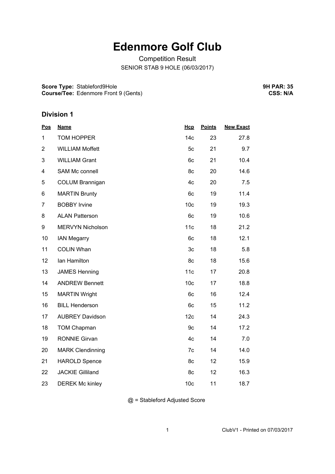## **Edenmore Golf Club**

Competition Result SENIOR STAB 9 HOLE (06/03/2017)

**Score Type:** Stableford9Hole **Course/Tee:** Edenmore Front 9 (Gents) **9H PAR: 35 CSS: N/A**

## **Division 1**

| <b>Pos</b>     | <b>Name</b>             | Hcp             | <b>Points</b> | <b>New Exact</b> |
|----------------|-------------------------|-----------------|---------------|------------------|
| 1              | <b>TOM HOPPER</b>       | 14 <sub>c</sub> | 23            | 27.8             |
| $\overline{2}$ | <b>WILLIAM Moffett</b>  | 5c              | 21            | 9.7              |
| 3              | <b>WILLIAM Grant</b>    | 6c              | 21            | 10.4             |
| 4              | <b>SAM Mc connell</b>   | 8c              | 20            | 14.6             |
| 5              | <b>COLUM Brannigan</b>  | 4c              | 20            | 7.5              |
| 6              | <b>MARTIN Brunty</b>    | 6c              | 19            | 11.4             |
| $\overline{7}$ | <b>BOBBY Irvine</b>     | 10 <sub>c</sub> | 19            | 19.3             |
| 8              | <b>ALAN Patterson</b>   | 6c              | 19            | 10.6             |
| 9              | MERVYN Nicholson        | 11c             | 18            | 21.2             |
| 10             | <b>IAN Megarry</b>      | 6c              | 18            | 12.1             |
| 11             | <b>COLIN Whan</b>       | 3c              | 18            | 5.8              |
| 12             | Ian Hamilton            | 8c              | 18            | 15.6             |
| 13             | <b>JAMES Henning</b>    | 11c             | 17            | 20.8             |
| 14             | <b>ANDREW Bennett</b>   | 10 <sub>c</sub> | 17            | 18.8             |
| 15             | <b>MARTIN Wright</b>    | 6c              | 16            | 12.4             |
| 16             | <b>BILL Henderson</b>   | 6c              | 15            | 11.2             |
| 17             | <b>AUBREY Davidson</b>  | 12c             | 14            | 24.3             |
| 18             | <b>TOM Chapman</b>      | 9c              | 14            | 17.2             |
| 19             | <b>RONNIE Girvan</b>    | 4c              | 14            | 7.0              |
| 20             | <b>MARK Clendinning</b> | 7c              | 14            | 14.0             |
| 21             | <b>HAROLD Spence</b>    | 8c              | 12            | 15.9             |
| 22             | <b>JACKIE Gilliland</b> | 8c              | 12            | 16.3             |
| 23             | <b>DEREK Mc kinley</b>  | 10 <sub>c</sub> | 11            | 18.7             |

@ = Stableford Adjusted Score